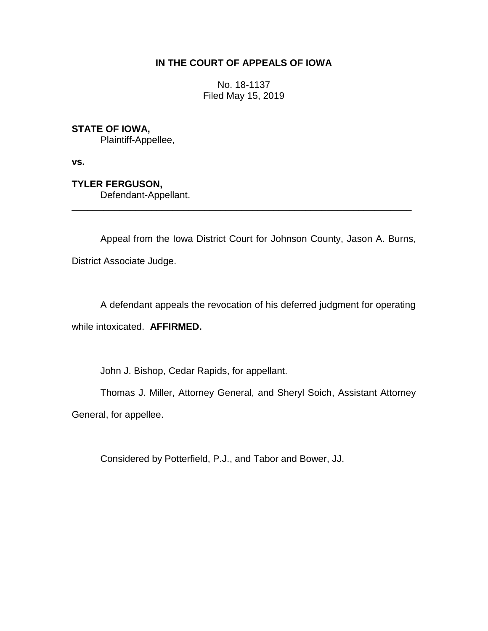## **IN THE COURT OF APPEALS OF IOWA**

No. 18-1137 Filed May 15, 2019

## **STATE OF IOWA,**

Plaintiff-Appellee,

**vs.**

**TYLER FERGUSON,**

Defendant-Appellant.

Appeal from the Iowa District Court for Johnson County, Jason A. Burns, District Associate Judge.

\_\_\_\_\_\_\_\_\_\_\_\_\_\_\_\_\_\_\_\_\_\_\_\_\_\_\_\_\_\_\_\_\_\_\_\_\_\_\_\_\_\_\_\_\_\_\_\_\_\_\_\_\_\_\_\_\_\_\_\_\_\_\_\_

A defendant appeals the revocation of his deferred judgment for operating while intoxicated. **AFFIRMED.**

John J. Bishop, Cedar Rapids, for appellant.

Thomas J. Miller, Attorney General, and Sheryl Soich, Assistant Attorney General, for appellee.

Considered by Potterfield, P.J., and Tabor and Bower, JJ.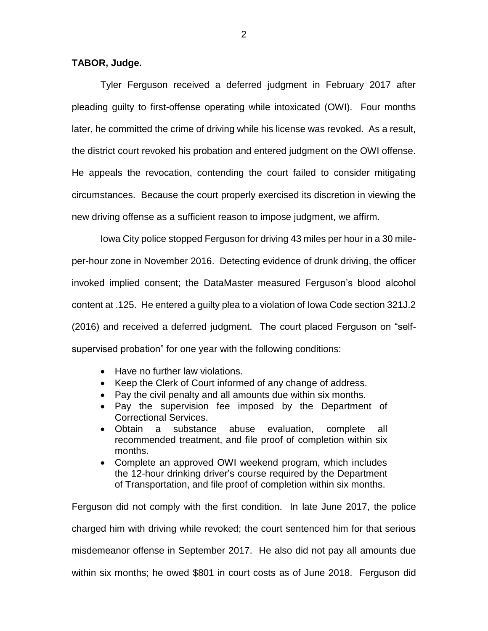## **TABOR, Judge.**

Tyler Ferguson received a deferred judgment in February 2017 after pleading guilty to first-offense operating while intoxicated (OWI). Four months later, he committed the crime of driving while his license was revoked. As a result, the district court revoked his probation and entered judgment on the OWI offense. He appeals the revocation, contending the court failed to consider mitigating circumstances. Because the court properly exercised its discretion in viewing the new driving offense as a sufficient reason to impose judgment, we affirm.

Iowa City police stopped Ferguson for driving 43 miles per hour in a 30 mileper-hour zone in November 2016. Detecting evidence of drunk driving, the officer invoked implied consent; the DataMaster measured Ferguson's blood alcohol content at .125. He entered a guilty plea to a violation of Iowa Code section 321J.2 (2016) and received a deferred judgment. The court placed Ferguson on "selfsupervised probation" for one year with the following conditions:

- Have no further law violations.
- Keep the Clerk of Court informed of any change of address.
- Pay the civil penalty and all amounts due within six months.
- Pay the supervision fee imposed by the Department of Correctional Services.
- Obtain a substance abuse evaluation, complete all recommended treatment, and file proof of completion within six months.
- Complete an approved OWI weekend program, which includes the 12-hour drinking driver's course required by the Department of Transportation, and file proof of completion within six months.

Ferguson did not comply with the first condition. In late June 2017, the police charged him with driving while revoked; the court sentenced him for that serious misdemeanor offense in September 2017. He also did not pay all amounts due within six months; he owed \$801 in court costs as of June 2018. Ferguson did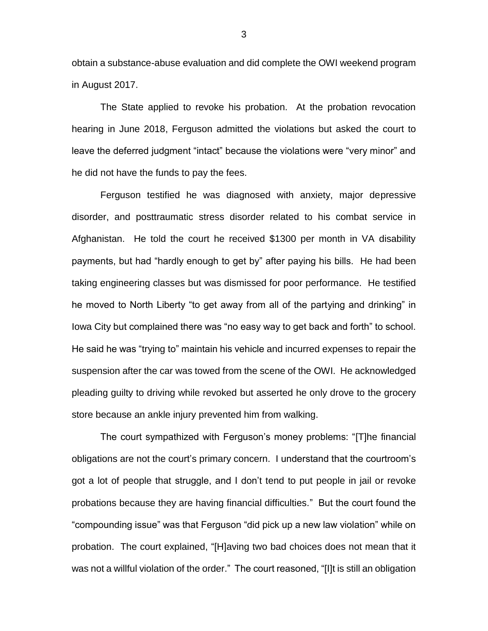obtain a substance-abuse evaluation and did complete the OWI weekend program in August 2017.

The State applied to revoke his probation. At the probation revocation hearing in June 2018, Ferguson admitted the violations but asked the court to leave the deferred judgment "intact" because the violations were "very minor" and he did not have the funds to pay the fees.

Ferguson testified he was diagnosed with anxiety, major depressive disorder, and posttraumatic stress disorder related to his combat service in Afghanistan. He told the court he received \$1300 per month in VA disability payments, but had "hardly enough to get by" after paying his bills. He had been taking engineering classes but was dismissed for poor performance. He testified he moved to North Liberty "to get away from all of the partying and drinking" in Iowa City but complained there was "no easy way to get back and forth" to school. He said he was "trying to" maintain his vehicle and incurred expenses to repair the suspension after the car was towed from the scene of the OWI. He acknowledged pleading guilty to driving while revoked but asserted he only drove to the grocery store because an ankle injury prevented him from walking.

The court sympathized with Ferguson's money problems: "[T]he financial obligations are not the court's primary concern. I understand that the courtroom's got a lot of people that struggle, and I don't tend to put people in jail or revoke probations because they are having financial difficulties." But the court found the "compounding issue" was that Ferguson "did pick up a new law violation" while on probation. The court explained, "[H]aving two bad choices does not mean that it was not a willful violation of the order." The court reasoned, "[I]t is still an obligation

3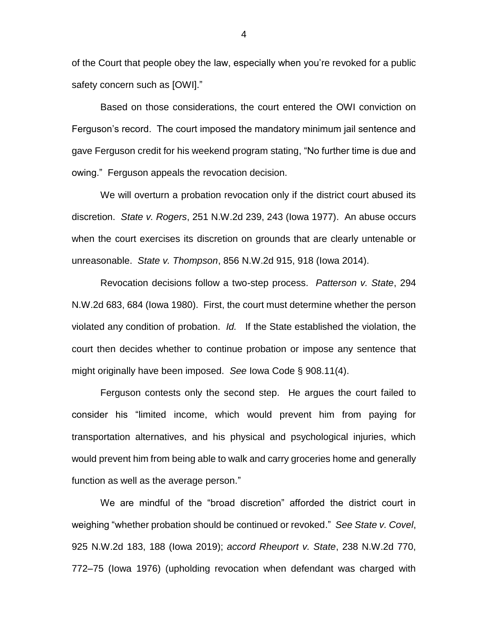of the Court that people obey the law, especially when you're revoked for a public safety concern such as [OWI]."

Based on those considerations, the court entered the OWI conviction on Ferguson's record. The court imposed the mandatory minimum jail sentence and gave Ferguson credit for his weekend program stating, "No further time is due and owing." Ferguson appeals the revocation decision.

We will overturn a probation revocation only if the district court abused its discretion. *State v. Rogers*, 251 N.W.2d 239, 243 (Iowa 1977). An abuse occurs when the court exercises its discretion on grounds that are clearly untenable or unreasonable. *State v. Thompson*, 856 N.W.2d 915, 918 (Iowa 2014).

Revocation decisions follow a two-step process. *Patterson v. State*, 294 N.W.2d 683, 684 (Iowa 1980). First, the court must determine whether the person violated any condition of probation. *Id.* If the State established the violation, the court then decides whether to continue probation or impose any sentence that might originally have been imposed. *See* Iowa Code § 908.11(4).

Ferguson contests only the second step. He argues the court failed to consider his "limited income, which would prevent him from paying for transportation alternatives, and his physical and psychological injuries, which would prevent him from being able to walk and carry groceries home and generally function as well as the average person."

We are mindful of the "broad discretion" afforded the district court in weighing "whether probation should be continued or revoked." *See State v. Covel*, 925 N.W.2d 183, 188 (Iowa 2019); *accord Rheuport v. State*, 238 N.W.2d 770, 772–75 (Iowa 1976) (upholding revocation when defendant was charged with